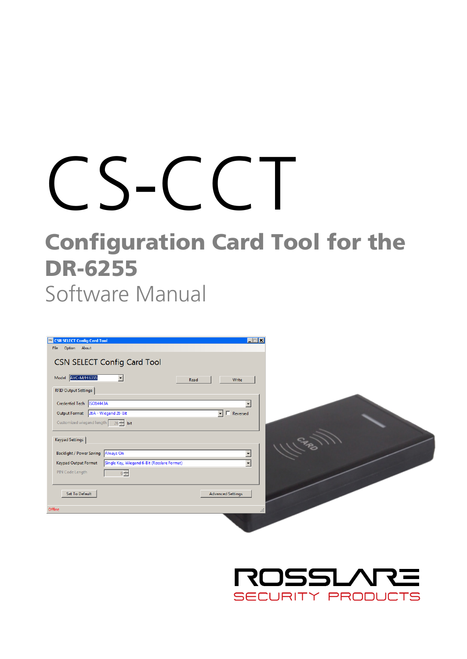# CS-CCT

# Configuration Card Tool for the DR-6255 Software Manual

| EEK<br>CSN SELECT Config Card Tool<br>Option About<br><b>Fle</b>                                                              |  |
|-------------------------------------------------------------------------------------------------------------------------------|--|
| CSN SELECT Config Card Tool                                                                                                   |  |
| Model XYC-M/H6355<br>Write<br>Read                                                                                            |  |
| <b>RFID Output Settings</b><br>Credential Tech   ISO14443A                                                                    |  |
| $\overline{\mathbf{v}}$ $\Box$ Reversed<br>Output Format 26A - Wiegand 26-Bit                                                 |  |
| Customized wiegand length 26 - bit                                                                                            |  |
| Keypad Settings                                                                                                               |  |
| <b>Backlight / Power Saving</b><br>Always On<br>۰<br>Single Key, Wiegand 6-Bit (Rosslare Format)<br>Keypad Output Format<br>۰ |  |
| PIN Code Length<br>$0 \rightleftharpoons$                                                                                     |  |
| Set To Default<br><b>Advanced Settings</b>                                                                                    |  |
| Offine<br>浜                                                                                                                   |  |
|                                                                                                                               |  |

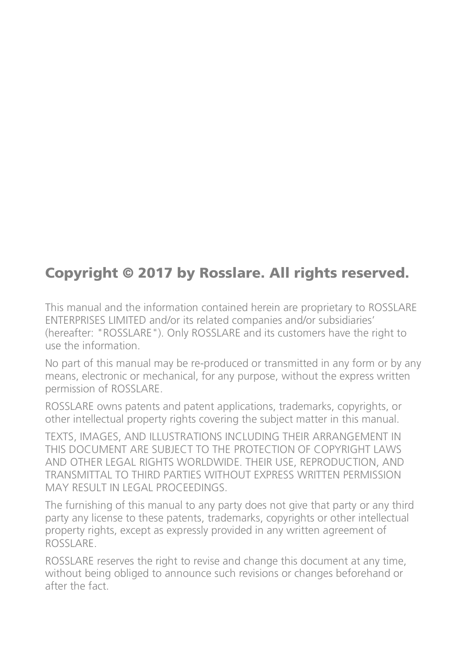#### Copyright © 2017 by Rosslare. All rights reserved.

This manual and the information contained herein are proprietary to ROSSLARE ENTERPRISES LIMITED and/or its related companies and/or subsidiaries' (hereafter: "ROSSLARE"). Only ROSSLARE and its customers have the right to use the information.

No part of this manual may be re-produced or transmitted in any form or by any means, electronic or mechanical, for any purpose, without the express written permission of ROSSLARE.

ROSSLARE owns patents and patent applications, trademarks, copyrights, or other intellectual property rights covering the subject matter in this manual.

TEXTS, IMAGES, AND ILLUSTRATIONS INCLUDING THEIR ARRANGEMENT IN THIS DOCUMENT ARE SUBJECT TO THE PROTECTION OF COPYRIGHT LAWS AND OTHER LEGAL RIGHTS WORLDWIDE. THEIR USE, REPRODUCTION, AND TRANSMITTAL TO THIRD PARTIES WITHOUT EXPRESS WRITTEN PERMISSION MAY RESULT IN LEGAL PROCEEDINGS.

The furnishing of this manual to any party does not give that party or any third party any license to these patents, trademarks, copyrights or other intellectual property rights, except as expressly provided in any written agreement of ROSSLARE.

ROSSLARE reserves the right to revise and change this document at any time, without being obliged to announce such revisions or changes beforehand or after the fact.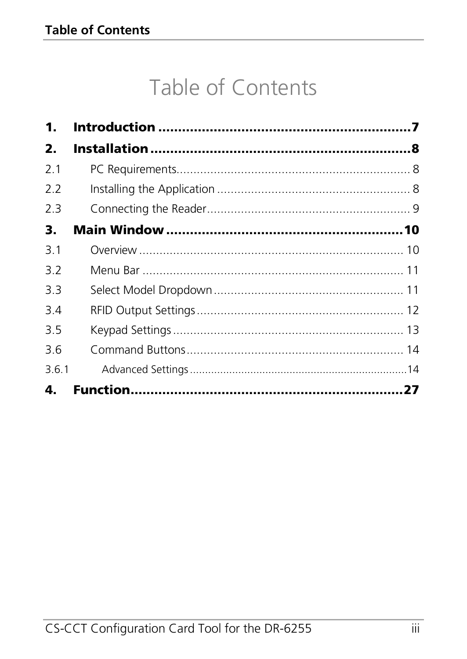# Table of Contents

| 1.    |  |
|-------|--|
| 2.    |  |
| 2.1   |  |
| 2.2   |  |
| 2.3   |  |
| З.    |  |
| 3.1   |  |
| 3.2   |  |
| 3.3   |  |
| 3.4   |  |
| 3.5   |  |
| 3.6   |  |
| 3.6.1 |  |
| 4.    |  |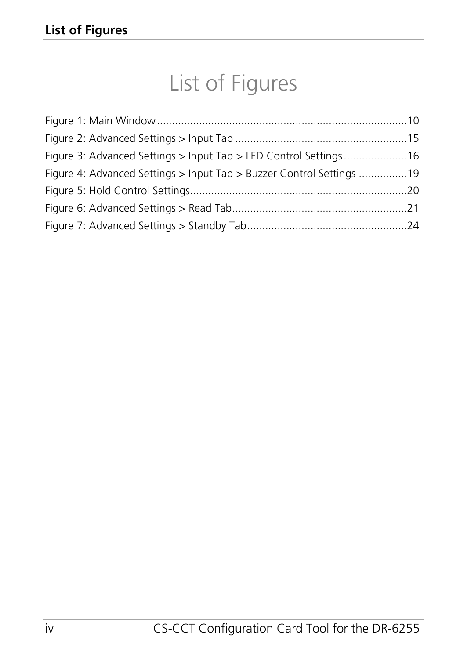# List of Figures

| Figure 3: Advanced Settings > Input Tab > LED Control Settings16     |  |
|----------------------------------------------------------------------|--|
| Figure 4: Advanced Settings > Input Tab > Buzzer Control Settings 19 |  |
|                                                                      |  |
|                                                                      |  |
|                                                                      |  |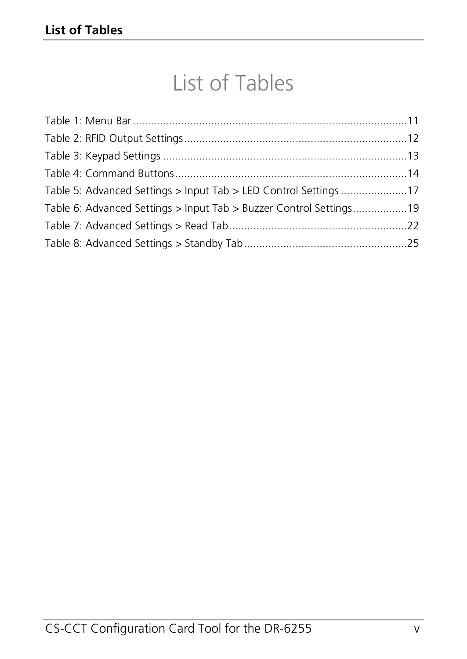# List of Tables

| Table 5: Advanced Settings > Input Tab > LED Control Settings 17   |  |
|--------------------------------------------------------------------|--|
| Table 6: Advanced Settings > Input Tab > Buzzer Control Settings19 |  |
|                                                                    |  |
|                                                                    |  |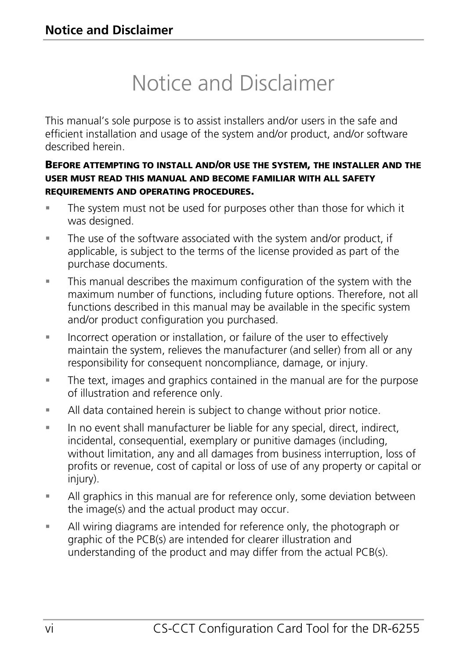# Notice and Disclaimer

This manual's sole purpose is to assist installers and/or users in the safe and efficient installation and usage of the system and/or product, and/or software described herein.

#### BEFORE ATTEMPTING TO INSTALL AND/OR USE THE SYSTEM, THE INSTALLER AND THE USER MUST READ THIS MANUAL AND BECOME FAMILIAR WITH ALL SAFETY REQUIREMENTS AND OPERATING PROCEDURES.

- The system must not be used for purposes other than those for which it was designed.
- The use of the software associated with the system and/or product, if applicable, is subject to the terms of the license provided as part of the purchase documents.
- This manual describes the maximum configuration of the system with the maximum number of functions, including future options. Therefore, not all functions described in this manual may be available in the specific system and/or product configuration you purchased.
- **Incorrect operation or installation, or failure of the user to effectively** maintain the system, relieves the manufacturer (and seller) from all or any responsibility for consequent noncompliance, damage, or injury.
- The text, images and graphics contained in the manual are for the purpose of illustration and reference only.
- All data contained herein is subject to change without prior notice.
- In no event shall manufacturer be liable for any special, direct, indirect, incidental, consequential, exemplary or punitive damages (including, without limitation, any and all damages from business interruption, loss of profits or revenue, cost of capital or loss of use of any property or capital or injury).
- All graphics in this manual are for reference only, some deviation between the image(s) and the actual product may occur.
- All wiring diagrams are intended for reference only, the photograph or graphic of the PCB(s) are intended for clearer illustration and understanding of the product and may differ from the actual PCB(s).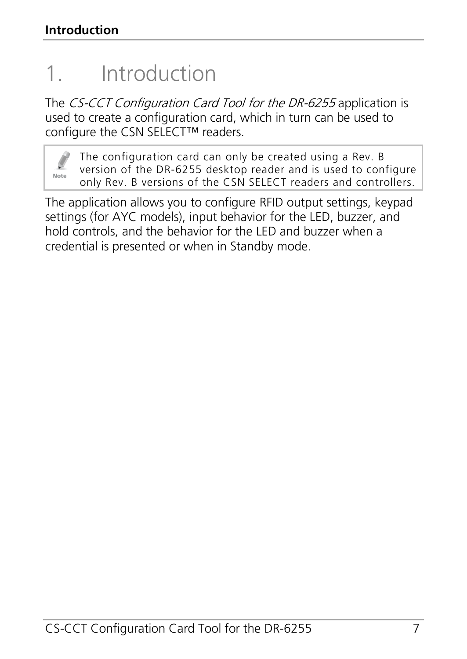# <span id="page-6-0"></span>1. Introduction

The CS-CCT Configuration Card Tool for the DR-6255 application is used to create a configuration card, which in turn can be used to configure the CSN SELECT™ readers.



The configuration card can only be created using a Rev. B version of the DR-6255 desktop reader and is used to configure only Rev. B versions of the CSN SELECT readers and controllers.

The application allows you to configure RFID output settings, keypad settings (for AYC models), input behavior for the LED, buzzer, and hold controls, and the behavior for the LED and buzzer when a credential is presented or when in Standby mode.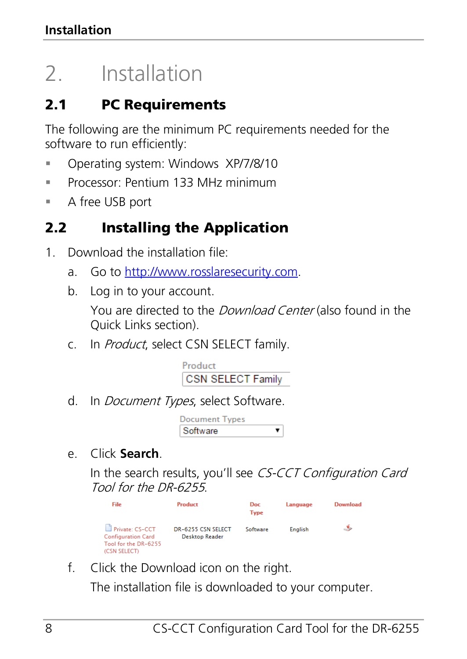# <span id="page-7-0"></span>2. Installation

# <span id="page-7-1"></span>2.1 PC Requirements

The following are the minimum PC requirements needed for the software to run efficiently:

- **Derating system: Windows XP/7/8/10**
- Processor: Pentium 133 MHz minimum
- A free USB port

# <span id="page-7-2"></span>2.2 Installing the Application

- 1. Download the installation file:
	- a. Go t[o http://www.rosslaresecurity.com.](http://www.rosslaresecurity.com/)
	- b. Log in to your account. You are directed to the *Download Center* (also found in the Quick Links section).
	- c. In *Product*, select CSN SELECT family.



d. In *Document Types*, select Software.

| Document Types |  |
|----------------|--|
| Software       |  |

e. Click **Search**.

In the search results, you'll see CS-CCT Configuration Card Tool for the DR-6255.

| Doc<br>Type                                 | Language       | Download |
|---------------------------------------------|----------------|----------|
| Software                                    | <b>English</b> | ٤        |
| DR-6255 CSN SELECT<br><b>Desktop Reader</b> |                |          |

f. Click the Download icon on the right.

The installation file is downloaded to your computer.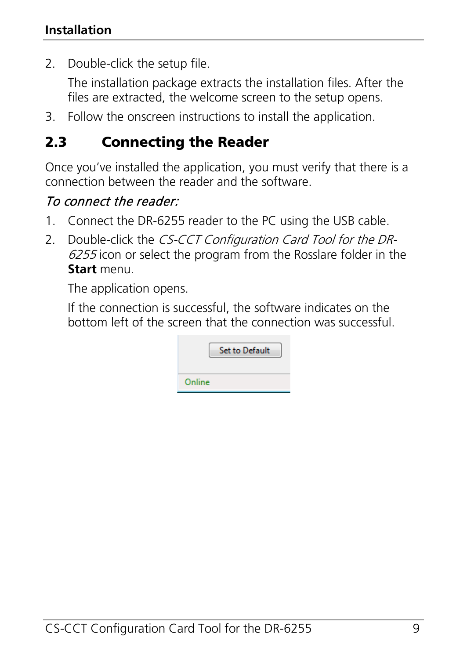2. Double-click the setup file.

The installation package extracts the installation files. After the files are extracted, the welcome screen to the setup opens.

3. Follow the onscreen instructions to install the application.

## <span id="page-8-0"></span>2.3 Connecting the Reader

Once you've installed the application, you must verify that there is a connection between the reader and the software.

## To connect the reader:

- 1. Connect the DR-6255 reader to the PC using the USB cable.
- 2. Double-click the CS-CCT Configuration Card Tool for the DR-6255 icon or select the program from the Rosslare folder in the **Start** menu.

The application opens.

If the connection is successful, the software indicates on the bottom left of the screen that the connection was successful.

|        | <b>Set to Default</b> |
|--------|-----------------------|
| Online |                       |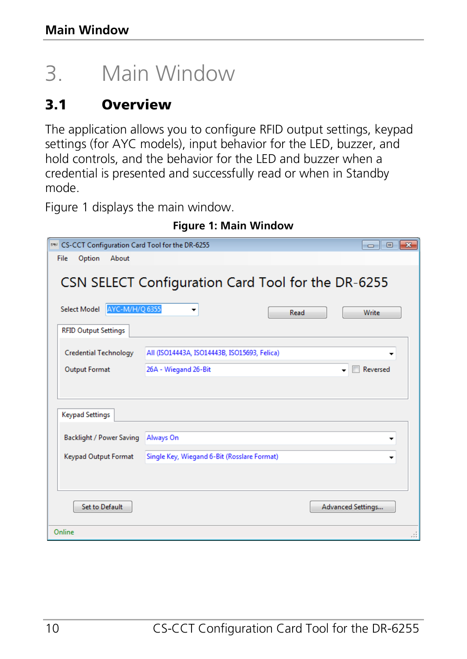# <span id="page-9-0"></span>3. Main Window

# <span id="page-9-1"></span>3.1 Overview

The application allows you to configure RFID output settings, keypad settings (for AYC models), input behavior for the LED, buzzer, and hold controls, and the behavior for the LED and buzzer when a credential is presented and successfully read or when in Standby mode.

[Figure 1](#page-9-2) displays the main window.

<span id="page-9-2"></span>

| EN CS-CCT Configuration Card Tool for the DR-6255 |                                                    |      | $  -$                    |
|---------------------------------------------------|----------------------------------------------------|------|--------------------------|
| Option<br>File<br>About                           |                                                    |      |                          |
|                                                   | CSN SELECT Configuration Card Tool for the DR-6255 |      |                          |
| AYC-M/H/Q 6355<br><b>Select Model</b>             | ٠                                                  | Read | Write                    |
| <b>RFID Output Settings</b>                       |                                                    |      |                          |
| <b>Credential Technology</b>                      | All (ISO14443A, ISO14443B, ISO15693, Felica)       |      |                          |
| <b>Output Format</b>                              | 26A - Wiegand 26-Bit                               |      | Reversed<br>٠            |
|                                                   |                                                    |      |                          |
| <b>Keypad Settings</b>                            |                                                    |      |                          |
| <b>Backlight / Power Saving</b>                   | Always On                                          |      |                          |
| <b>Keypad Output Format</b>                       | Single Key, Wiegand 6-Bit (Rosslare Format)        |      | ۰                        |
|                                                   |                                                    |      |                          |
| <b>Set to Default</b>                             |                                                    |      | <b>Advanced Settings</b> |
| Online                                            |                                                    |      |                          |

**Figure 1: Main Window**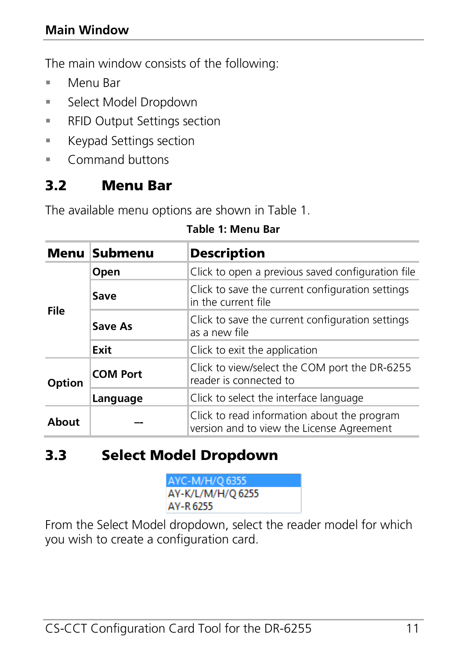#### **Main Window**

The main window consists of the following:

- Menu Bar
- **Select Model Dropdown**
- **RFID Output Settings section**
- **Keypad Settings section**
- **Command buttons**

#### <span id="page-10-0"></span>3.2 Menu Bar

<span id="page-10-2"></span>The available menu options are shown i[n Table 1.](#page-10-2)

|        | Menu Submenu    | <b>Description</b>                                                                       |  |
|--------|-----------------|------------------------------------------------------------------------------------------|--|
| File   | Open            | Click to open a previous saved configuration file                                        |  |
|        | Save            | Click to save the current configuration settings<br>in the current file                  |  |
|        | Save As         | Click to save the current configuration settings<br>as a new file                        |  |
|        | Exit            | Click to exit the application                                                            |  |
| Option | <b>COM Port</b> | Click to view/select the COM port the DR-6255<br>reader is connected to                  |  |
|        | Language        | Click to select the interface language                                                   |  |
| About  |                 | Click to read information about the program<br>version and to view the License Agreement |  |

#### **Table 1: Menu Bar**

## <span id="page-10-1"></span>3.3 Select Model Dropdown

AYC-M/H/O 6355 AY-K/L/M/H/Q 6255 AY-R 6255

From the Select Model dropdown, select the reader model for which you wish to create a configuration card.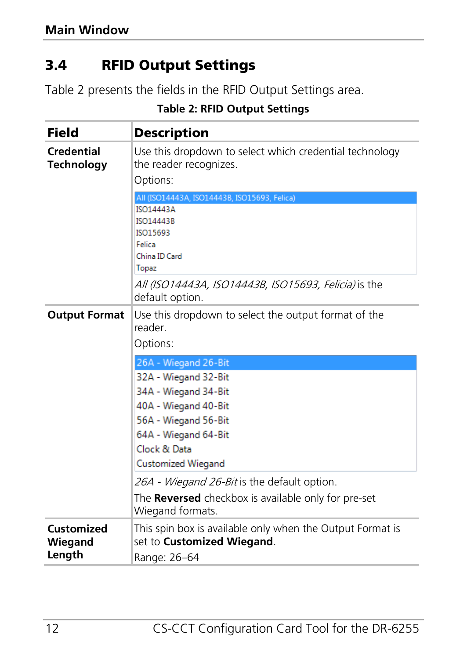## <span id="page-11-0"></span>3.4 RFID Output Settings

<span id="page-11-1"></span>[Table 2](#page-11-1) presents the fields in the RFID Output Settings area.

| Field                           | Description                                                                                     |
|---------------------------------|-------------------------------------------------------------------------------------------------|
| Credential<br><b>Technology</b> | Use this dropdown to select which credential technology<br>the reader recognizes.               |
|                                 | Options:                                                                                        |
|                                 | All (ISO14443A, ISO14443B, ISO15693, Felica)                                                    |
|                                 | <b>ISO14443A</b><br>ISO14443B                                                                   |
|                                 | ISO15693                                                                                        |
|                                 | Felica                                                                                          |
|                                 | China ID Card                                                                                   |
|                                 | Topaz                                                                                           |
|                                 | <i>All (ISO14443A, ISO14443B, ISO15693, Felicia)</i> is the<br>default option.                  |
| <b>Output Format</b>            | Use this dropdown to select the output format of the<br>reader.                                 |
|                                 | Options:                                                                                        |
|                                 | 26A - Wiegand 26-Bit                                                                            |
|                                 | 32A - Wiegand 32-Bit                                                                            |
|                                 | 34A - Wiegand 34-Bit                                                                            |
|                                 | 40A - Wiegand 40-Bit                                                                            |
|                                 | 56A - Wiegand 56-Bit                                                                            |
|                                 | 64A - Wiegand 64-Bit                                                                            |
|                                 | Clock & Data                                                                                    |
|                                 | <b>Customized Wiegand</b>                                                                       |
|                                 | 26A - Wiegand 26-Bit is the default option.                                                     |
|                                 | The Reversed checkbox is available only for pre-set<br>Wiegand formats.                         |
| Customized<br>Wiegand           | This spin box is available only when the Output Format is<br>set to <b>Customized Wiegand</b> . |
| Length                          | Range: 26-64                                                                                    |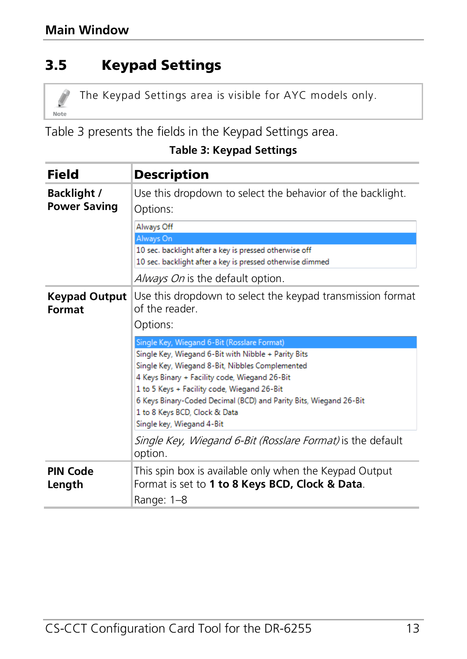# <span id="page-12-0"></span>3.5 Keypad Settings

The Keypad Settings area is visible for AYC models only. Note

[Table 3](#page-12-1) presents the fields in the Keypad Settings area.

#### <span id="page-12-1"></span>Field Description **Backlight /**  Use this dropdown to select the behavior of the backlight. **Power Saving** Options: Always Off Always On 10 sec. backlight after a key is pressed otherwise off 10 sec. backlight after a key is pressed otherwise dimmed Always On is the default option. **Keypad Output**  Use this dropdown to select the keypad transmission format **Format** of the reader. Options: Single Key, Wiegand 6-Bit (Rosslare Format) Single Key, Wiegand 6-Bit with Nibble + Parity Bits Single Key, Wiegand 8-Bit, Nibbles Complemented 4 Keys Binary + Facility code. Wiegand 26-Bit 1 to 5 Keys + Facility code, Wiegand 26-Bit 6 Keys Binary-Coded Decimal (BCD) and Parity Bits, Wiegand 26-Bit 1 to 8 Keys BCD, Clock & Data Single key, Wiegand 4-Bit Single Key, Wiegand 6-Bit (Rosslare Format) is the default option. This spin box is available only when the Keypad Output **PIN Code Length** Format is set to **1 to 8 Keys BCD, Clock & Data**. Range: 1–8

#### **Table 3: Keypad Settings**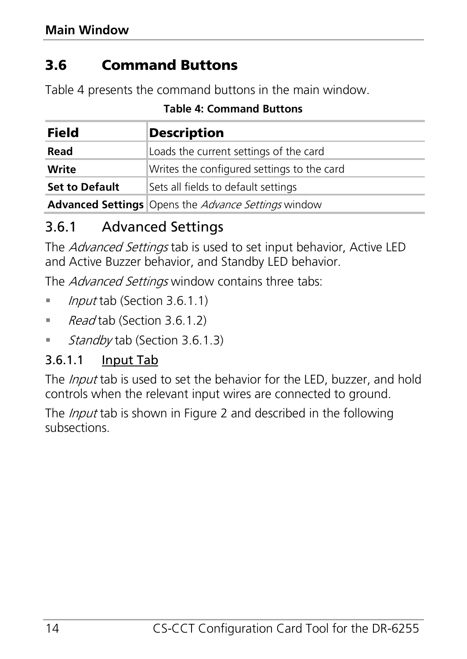# <span id="page-13-0"></span>3.6 Command Buttons

<span id="page-13-2"></span>[Table 4](#page-13-2) presents the command buttons in the main window.

| Field                 | <b>Description</b>                                                |  |
|-----------------------|-------------------------------------------------------------------|--|
| Read                  | Loads the current settings of the card                            |  |
| Write                 | Writes the configured settings to the card                        |  |
| <b>Set to Default</b> | Sets all fields to default settings                               |  |
|                       | <b>Advanced Settings</b> Opens the <i>Advance Settings</i> window |  |

#### **Table 4: Command Buttons**

## <span id="page-13-1"></span>3.6.1 Advanced Settings

The Advanced Settings tab is used to set input behavior, Active LED and Active Buzzer behavior, and Standby LED behavior.

The Advanced Settings window contains three tabs:

- *Input* tab (Section [3.6.1.1\)](#page-13-3)
- Read tab (Section [3.6.1.2\)](#page-20-1)
- Standby tab (Sectio[n 3.6.1.3\)](#page-23-1)

#### <span id="page-13-3"></span>3.6.1.1 Input Tab

The *Input* tab is used to set the behavior for the LED, buzzer, and hold controls when the relevant input wires are connected to ground.

The *Input* tab is shown i[n Figure 2](#page-14-0) and described in the following subsections.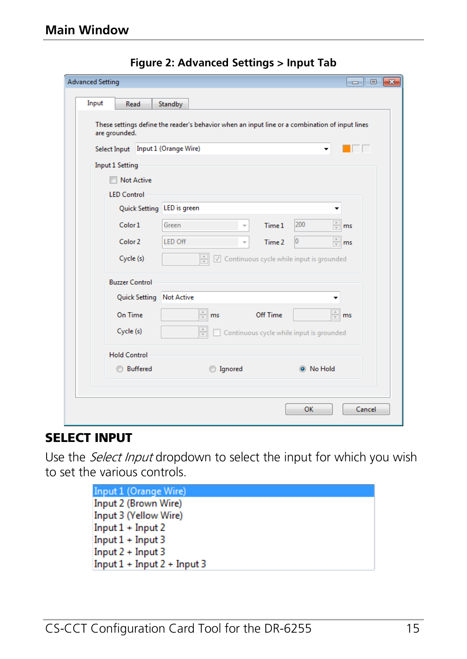<span id="page-14-0"></span>

| <b>Advanced Setting</b>                             |                                                                                                | $\blacksquare$             |
|-----------------------------------------------------|------------------------------------------------------------------------------------------------|----------------------------|
| Input<br>Read                                       | Standby                                                                                        |                            |
| are grounded.<br>Select Input Input 1 (Orange Wire) | These settings define the reader's behavior when an input line or a combination of input lines |                            |
| <b>Input 1 Setting</b>                              |                                                                                                |                            |
| <b>Not Active</b>                                   |                                                                                                |                            |
| <b>LED Control</b>                                  |                                                                                                |                            |
|                                                     | Quick Setting LED is green                                                                     |                            |
| Color 1                                             | Green<br>Time 1                                                                                | 200<br>$\frac{1}{x}$<br>ms |
| Color <sub>2</sub>                                  | <b>LED Off</b><br>Time 2                                                                       | $\hat{=}$ ms<br>o          |
| Cycle (s)                                           | $\frac{1}{x}$<br>◯ Continuous cycle while input is grounded                                    |                            |
| <b>Buzzer Control</b>                               |                                                                                                |                            |
|                                                     | Quick Setting Not Active                                                                       |                            |
| On Time                                             | $\frac{1}{2}$ ms<br>Off Time                                                                   | $\oplus$ ms                |
| Cycle (s)                                           | $\frac{\Lambda}{\nu}$<br>Continuous cycle while input is grounded                              |                            |
| <b>Hold Control</b>                                 |                                                                                                |                            |
| <b>Buffered</b>                                     | <b>ignored</b>                                                                                 | C No Hold                  |
|                                                     |                                                                                                |                            |
|                                                     |                                                                                                | Cancel<br>OK               |

**Figure 2: Advanced Settings > Input Tab**

#### SELECT INPUT

Use the Select Input dropdown to select the input for which you wish to set the various controls.

| Input 1 (Orange Wire)         |
|-------------------------------|
| Input 2 (Brown Wire)          |
| Input 3 (Yellow Wire)         |
| $Input 1 + Input 2$           |
| $Input 1 + Input 3$           |
| $Input 2 + Input 3$           |
| $Input 1 + Input 2 + Input 3$ |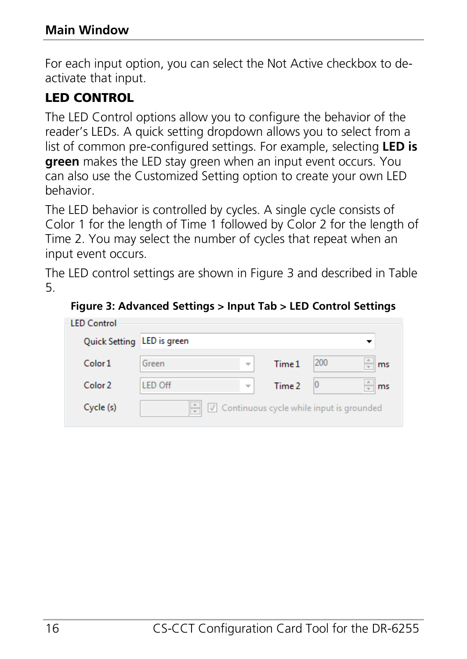For each input option, you can select the Not Active checkbox to deactivate that input.

#### LED CONTROL

The LED Control options allow you to configure the behavior of the reader's LEDs. A quick setting dropdown allows you to select from a list of common pre-configured settings. For example, selecting **LED is green** makes the LED stay green when an input event occurs. You can also use the Customized Setting option to create your own LED behavior.

The LED behavior is controlled by cycles. A single cycle consists of Color 1 for the length of Time 1 followed by Color 2 for the length of Time 2. You may select the number of cycles that repeat when an input event occurs.

The LED control settings are shown in [Figure](#page-15-0) 3 and described in [Table](#page-16-0)  [5.](#page-16-0)

#### <span id="page-15-0"></span>**Figure 3: Advanced Settings > Input Tab > LED Control Settings**

| <b>LED</b> Control         |                |                          |        |                                          |          |
|----------------------------|----------------|--------------------------|--------|------------------------------------------|----------|
| Quick Setting LED is green |                |                          |        |                                          |          |
| Color <sub>1</sub>         | Green          | $\overline{\mathbf{v}}$  | Time 1 | 200                                      | ms       |
| Color 2                    | <b>LED Off</b> | $\overline{\phantom{a}}$ | Time 2 | 10                                       | ms<br>æ. |
| Cycle (s)                  |                |                          |        | Continuous cycle while input is grounded |          |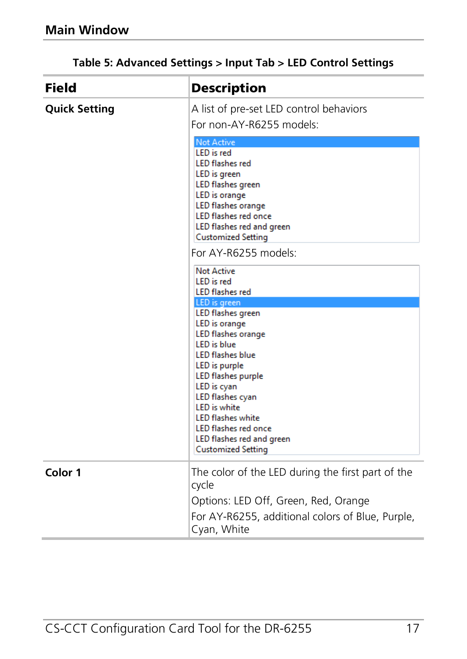<span id="page-16-0"></span>

| <b>Field</b>         | <b>Description</b>                                                                                                                                                                                                                                                                                                                                     |  |  |
|----------------------|--------------------------------------------------------------------------------------------------------------------------------------------------------------------------------------------------------------------------------------------------------------------------------------------------------------------------------------------------------|--|--|
| <b>Quick Setting</b> | A list of pre-set LED control behaviors<br>For non-AY-R6255 models:                                                                                                                                                                                                                                                                                    |  |  |
|                      | <b>Not Active</b><br><b>LED</b> is red<br><b>LED</b> flashes red<br>LED is green<br><b>LED flashes green</b><br>LED is orange<br>LED flashes orange<br><b>LED flashes red once</b><br>LED flashes red and green<br><b>Customized Setting</b><br>For AY-R6255 models:                                                                                   |  |  |
|                      | <b>Not Active</b><br><b>LED</b> is red<br><b>LED</b> flashes red<br>LED is green<br><b>LED</b> flashes green<br><b>LED</b> is orange<br><b>LED flashes orange</b><br><b>LED</b> is blue<br><b>LED flashes blue</b><br>LED is purple<br><b>LED flashes purple</b><br>LED is cyan<br>LED flashes cyan<br><b>LED</b> is white<br><b>LED flashes white</b> |  |  |
|                      | <b>LED flashes red once</b><br>LED flashes red and green<br><b>Customized Setting</b>                                                                                                                                                                                                                                                                  |  |  |
| Color 1              | The color of the LED during the first part of the<br>cycle<br>Options: LED Off, Green, Red, Orange                                                                                                                                                                                                                                                     |  |  |
|                      | For AY-R6255, additional colors of Blue, Purple,<br>Cyan, White                                                                                                                                                                                                                                                                                        |  |  |

#### **Table 5: Advanced Settings > Input Tab > LED Control Settings**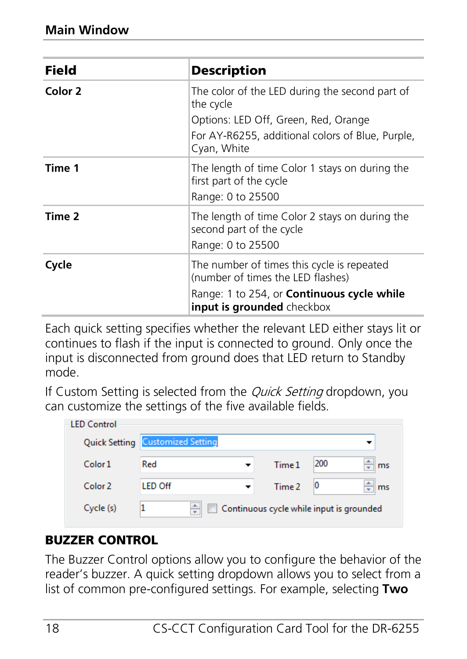| Field   | <b>Description</b>                                                                                                                                                 |  |  |  |
|---------|--------------------------------------------------------------------------------------------------------------------------------------------------------------------|--|--|--|
| Color 2 | The color of the LED during the second part of<br>the cycle                                                                                                        |  |  |  |
|         | Options: LED Off, Green, Red, Orange                                                                                                                               |  |  |  |
|         | For AY-R6255, additional colors of Blue, Purple,<br>Cyan, White                                                                                                    |  |  |  |
| Time 1  | The length of time Color 1 stays on during the<br>first part of the cycle<br>Range: 0 to 25500                                                                     |  |  |  |
| Time 2  | The length of time Color 2 stays on during the<br>second part of the cycle<br>Range: 0 to 25500                                                                    |  |  |  |
| Cycle   | The number of times this cycle is repeated<br>(number of times the LED flashes)<br>Range: 1 to 254, or <b>Continuous cycle while</b><br>input is grounded checkbox |  |  |  |

Each quick setting specifies whether the relevant LED either stays lit or continues to flash if the input is connected to ground. Only once the input is disconnected from ground does that LED return to Standby mode.

If Custom Setting is selected from the *Quick Setting* dropdown, you can customize the settings of the five available fields.

| <b>LED Control</b> |                           |   |                                          |     |         |
|--------------------|---------------------------|---|------------------------------------------|-----|---------|
| Quick Setting      | <b>Customized Setting</b> |   |                                          |     |         |
| Color <sub>1</sub> | Red                       | ٠ | Time 1                                   | 200 | ÷<br>ms |
| Color <sub>2</sub> | <b>I FD Off</b>           |   | Time 2                                   | 10  | ms<br>÷ |
| Cycle (s)          |                           |   | Continuous cycle while input is grounded |     |         |

#### BUZZER CONTROL

The Buzzer Control options allow you to configure the behavior of the reader's buzzer. A quick setting dropdown allows you to select from a list of common pre-configured settings. For example, selecting **Two**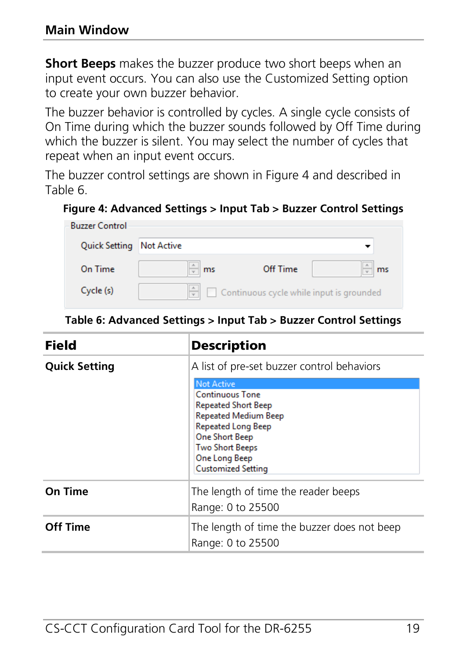**Short Beeps** makes the buzzer produce two short beeps when an input event occurs. You can also use the Customized Setting option to create your own buzzer behavior.

The buzzer behavior is controlled by cycles. A single cycle consists of On Time during which the buzzer sounds followed by Off Time during which the buzzer is silent. You may select the number of cycles that repeat when an input event occurs.

The buzzer control settings are shown in [Figure 4](#page-18-0) and described in [Table 6.](#page-18-1)

#### <span id="page-18-0"></span>**Figure 4: Advanced Settings > Input Tab > Buzzer Control Settings**

| <b>Buzzer Control</b>    |    |                                                 |    |
|--------------------------|----|-------------------------------------------------|----|
| Quick Setting Not Active |    |                                                 |    |
| On Time                  | ms | Off Time                                        | ms |
| Cycle (s)                |    | $\Box$ Continuous cycle while input is grounded |    |

**Table 6: Advanced Settings > Input Tab > Buzzer Control Settings**

<span id="page-18-1"></span>

| Field                | <b>Description</b>                                                                                                                                                                                                                            |  |  |
|----------------------|-----------------------------------------------------------------------------------------------------------------------------------------------------------------------------------------------------------------------------------------------|--|--|
| <b>Quick Setting</b> | A list of pre-set buzzer control behaviors                                                                                                                                                                                                    |  |  |
|                      | <b>Not Active</b><br><b>Continuous Tone</b><br><b>Repeated Short Beep</b><br><b>Repeated Medium Beep</b><br><b>Repeated Long Beep</b><br><b>One Short Beep</b><br><b>Two Short Beeps</b><br><b>One Long Beep</b><br><b>Customized Setting</b> |  |  |
| On Time              | The length of time the reader beeps<br>Range: 0 to 25500                                                                                                                                                                                      |  |  |
| Off Time             | The length of time the buzzer does not beep<br>Range: 0 to 25500                                                                                                                                                                              |  |  |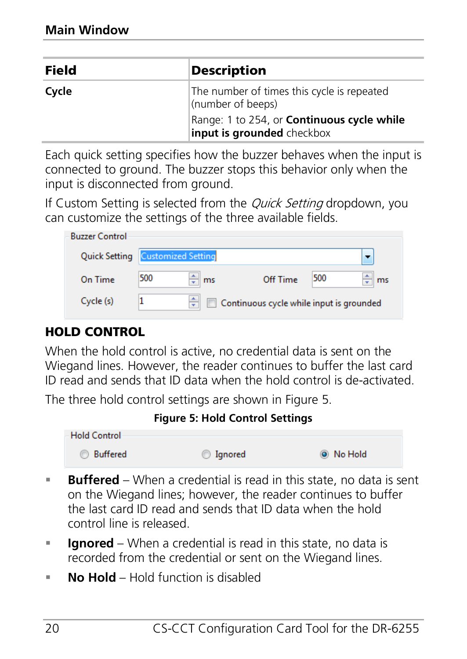| Field | <b>Description</b>                                              |
|-------|-----------------------------------------------------------------|
| Cycle | The number of times this cycle is repeated<br>(number of beeps) |
|       | Range: 1 to 254, or <b>Continuous cycle while</b>               |
|       | input is grounded checkbox                                      |

Each quick setting specifies how the buzzer behaves when the input is connected to ground. The buzzer stops this behavior only when the input is disconnected from ground.

If Custom Setting is selected from the *Quick Setting* dropdown, you can customize the settings of the three available fields.

| <b>Buzzer Control</b> |                           |         |                                          |     |    |
|-----------------------|---------------------------|---------|------------------------------------------|-----|----|
| <b>Quick Setting</b>  | <b>Customized Setting</b> |         |                                          |     |    |
| On Time               | 500                       | ÷<br>ms | Off Time                                 | 500 | ms |
| Cycle (s)             |                           | ٨<br>÷  | Continuous cycle while input is grounded |     |    |

#### HOLD CONTROL

When the hold control is active, no credential data is sent on the Wiegand lines. However, the reader continues to buffer the last card ID read and sends that ID data when the hold control is de-activated.

<span id="page-19-0"></span>The three hold control settings are shown in [Figure 5.](#page-19-0)

#### **Figure 5: Hold Control Settings**



- **Buffered** When a credential is read in this state, no data is sent on the Wiegand lines; however, the reader continues to buffer the last card ID read and sends that ID data when the hold control line is released.
- **Ignored** When a credential is read in this state, no data is recorded from the credential or sent on the Wiegand lines.
- **No Hold** Hold function is disabled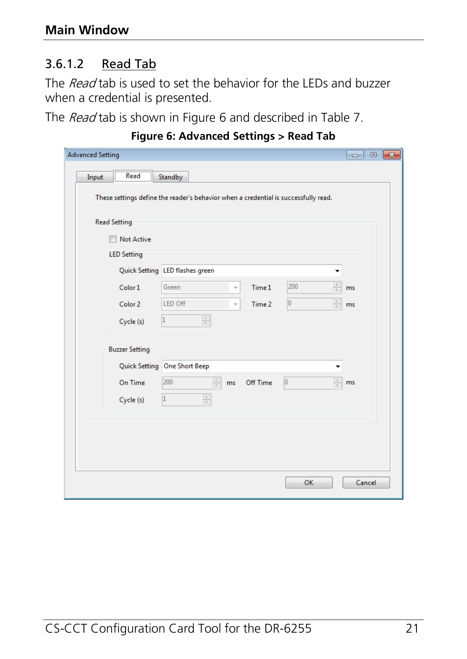#### <span id="page-20-1"></span>3.6.1.2 Read Tab

The Read tab is used to set the behavior for the LEDs and buzzer when a credential is presented.

<span id="page-20-0"></span>The Read tab is shown in [Figure 6](#page-20-0) and described in [Table 7.](#page-21-0)

| <b>Advanced Setting</b> |                                                                                                            |        |
|-------------------------|------------------------------------------------------------------------------------------------------------|--------|
| Read<br>Input           | Standby                                                                                                    |        |
|                         |                                                                                                            |        |
|                         | These settings define the reader's behavior when a credential is successfully read.                        |        |
|                         |                                                                                                            |        |
| <b>Read Setting</b>     |                                                                                                            |        |
| <b>Not Active</b>       |                                                                                                            |        |
| <b>LED Setting</b>      |                                                                                                            |        |
|                         | Quick Setting LED flashes green                                                                            |        |
| Color 1                 | $\frac{\triangle}{\mathbf{v}}$<br>200<br>Green<br>Time 1                                                   | ms.    |
| Color 2                 | $\frac{\mathbb{A}}{\mathbb{V}}$<br><b>LED Off</b><br>lo<br>Time 2                                          | ms     |
|                         | $\frac{\mathbb{A}}{\mathbb{v}}$<br>1                                                                       |        |
| Cycle (s)               |                                                                                                            |        |
| <b>Buzzer Setting</b>   |                                                                                                            |        |
|                         | Quick Setting One Short Beep                                                                               |        |
| On Time                 | $\frac{\mathbb{A}}{\mathbb{V}}$<br>$\frac{\mathbb{A}}{\mathbb{v}}$<br>200<br>$ 0\rangle$<br>Off Time<br>ms | ms     |
|                         |                                                                                                            |        |
| Cycle (s)               | $\frac{\mathbb{A}}{\mathbb{V}}$<br>1                                                                       |        |
|                         |                                                                                                            |        |
|                         |                                                                                                            |        |
|                         |                                                                                                            |        |
|                         |                                                                                                            |        |
|                         | OK                                                                                                         | Cancel |
|                         |                                                                                                            |        |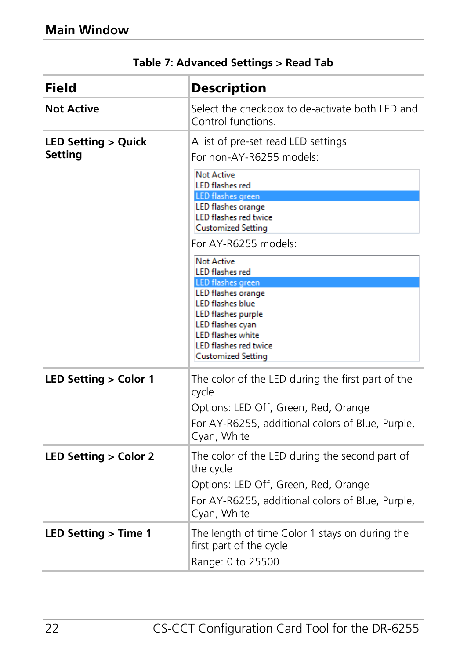<span id="page-21-0"></span>

| Field                                    | <b>Description</b>                                                                                                                                                                                                                                                                                                                                                                                                                                                                                                          |
|------------------------------------------|-----------------------------------------------------------------------------------------------------------------------------------------------------------------------------------------------------------------------------------------------------------------------------------------------------------------------------------------------------------------------------------------------------------------------------------------------------------------------------------------------------------------------------|
| <b>Not Active</b>                        | Select the checkbox to de-activate both LED and<br>Control functions                                                                                                                                                                                                                                                                                                                                                                                                                                                        |
| <b>LED Setting &gt; Quick</b><br>Setting | A list of pre-set read LED settings<br>For non-AY-R6255 models:<br><b>Not Active</b><br><b>LED flashes red</b><br><b>LED</b> flashes green<br><b>LED flashes orange</b><br><b>LED flashes red twice</b><br><b>Customized Setting</b><br>For AY-R6255 models:<br><b>Not Active</b><br><b>LED</b> flashes red<br><b>LED</b> flashes green<br>LED flashes orange<br><b>LED flashes blue</b><br>LED flashes purple<br>LED flashes cyan<br><b>LED flashes white</b><br><b>LED flashes red twice</b><br><b>Customized Setting</b> |
| LED Setting > Color 1                    | The color of the LED during the first part of the<br>cycle<br>Options: LED Off, Green, Red, Orange<br>For AY-R6255, additional colors of Blue, Purple,<br>Cyan, White                                                                                                                                                                                                                                                                                                                                                       |
| LED Setting > Color 2                    | The color of the LED during the second part of<br>the cycle<br>Options: LED Off, Green, Red, Orange<br>For AY-R6255, additional colors of Blue, Purple,<br>Cyan, White                                                                                                                                                                                                                                                                                                                                                      |
| LED Setting > Time 1                     | The length of time Color 1 stays on during the<br>first part of the cycle<br>Range: 0 to 25500                                                                                                                                                                                                                                                                                                                                                                                                                              |

#### **Table 7: Advanced Settings > Read Tab**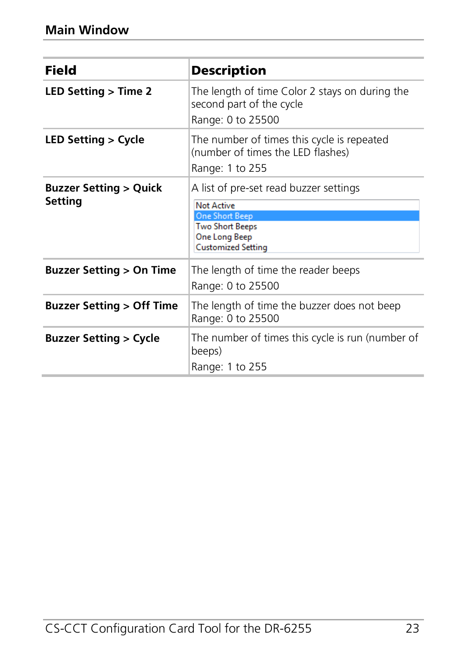| Field                                       | <b>Description</b>                                                                                                                                           |
|---------------------------------------------|--------------------------------------------------------------------------------------------------------------------------------------------------------------|
| LED Setting $>$ Time 2                      | The length of time Color 2 stays on during the<br>second part of the cycle<br>Range: 0 to 25500                                                              |
| LED Setting > Cycle                         | The number of times this cycle is repeated<br>(number of times the LED flashes)<br>Range: 1 to 255                                                           |
| <b>Buzzer Setting &gt; Quick</b><br>Setting | A list of pre-set read buzzer settings<br><b>Not Active</b><br><b>One Short Beep</b><br><b>Two Short Beeps</b><br>One Long Beep<br><b>Customized Setting</b> |
| <b>Buzzer Setting &gt; On Time</b>          | The length of time the reader beeps<br>Range: 0 to 25500                                                                                                     |
| <b>Buzzer Setting &gt; Off Time</b>         | The length of time the buzzer does not beep<br>Range: 0 to 25500                                                                                             |
| <b>Buzzer Setting &gt; Cycle</b>            | The number of times this cycle is run (number of<br>beeps)<br>Range: 1 to 255                                                                                |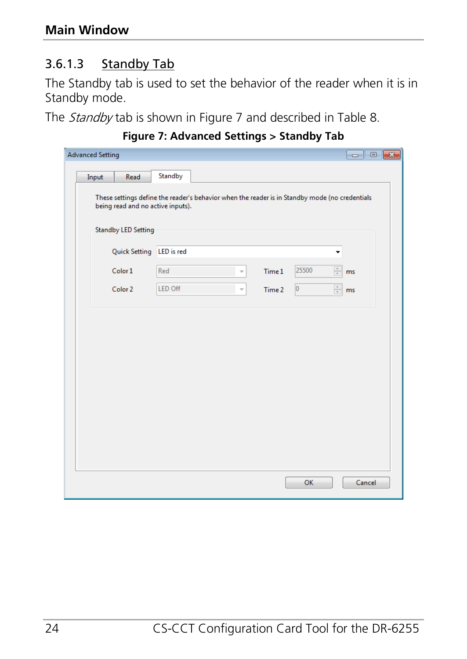#### <span id="page-23-1"></span>3.6.1.3 Standby Tab

The Standby tab is used to set the behavior of the reader when it is in Standby mode.

<span id="page-23-0"></span>The Standby tab is shown in [Figure 7](#page-23-0) and described in [Table 8.](#page-24-0)

| <b>Advanced Setting</b>           |                                                                                                |                                    |                                         | $\begin{array}{c c c c c c} \hline \multicolumn{3}{c }{\mathbf{C}} & \multicolumn{3}{c }{\mathbf{C}} & \multicolumn{3}{c }{\mathbf{X}} \end{array}$ |
|-----------------------------------|------------------------------------------------------------------------------------------------|------------------------------------|-----------------------------------------|-----------------------------------------------------------------------------------------------------------------------------------------------------|
| Input<br>Read                     | Standby                                                                                        |                                    |                                         |                                                                                                                                                     |
| being read and no active inputs). | These settings define the reader's behavior when the reader is in Standby mode (no credentials |                                    |                                         |                                                                                                                                                     |
| <b>Standby LED Setting</b>        |                                                                                                |                                    |                                         |                                                                                                                                                     |
| Quick Setting LED is red          |                                                                                                |                                    |                                         |                                                                                                                                                     |
| Color 1                           | Red                                                                                            | Time 1<br>$\overline{\phantom{a}}$ | $\frac{\triangle}{\mathbf{v}}$<br>25500 | ms                                                                                                                                                  |
| Color 2                           | <b>LED Off</b>                                                                                 | Time 2<br>÷                        | $\frac{\triangle}{\pi}$<br>$ 0\rangle$  | ms                                                                                                                                                  |
|                                   |                                                                                                |                                    |                                         |                                                                                                                                                     |
|                                   |                                                                                                |                                    |                                         |                                                                                                                                                     |
|                                   |                                                                                                |                                    |                                         |                                                                                                                                                     |
|                                   |                                                                                                |                                    |                                         |                                                                                                                                                     |
|                                   |                                                                                                |                                    |                                         |                                                                                                                                                     |
|                                   |                                                                                                |                                    |                                         |                                                                                                                                                     |
|                                   |                                                                                                |                                    |                                         |                                                                                                                                                     |
|                                   |                                                                                                |                                    |                                         |                                                                                                                                                     |
|                                   |                                                                                                |                                    |                                         |                                                                                                                                                     |
|                                   |                                                                                                |                                    | OK                                      | Cancel                                                                                                                                              |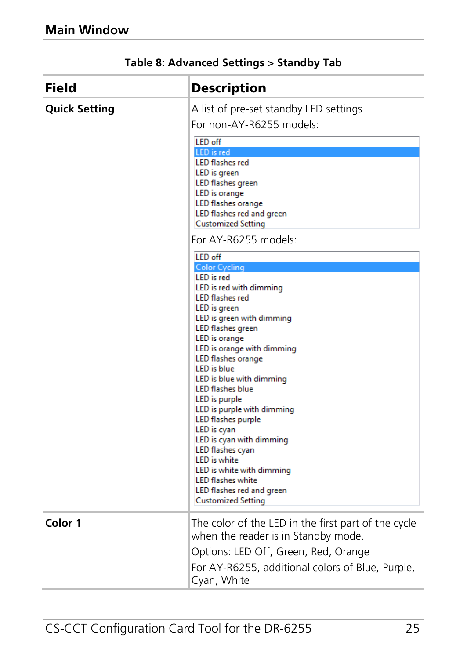<span id="page-24-0"></span>

| <b>Field</b>         | <b>Description</b>                                                                                                                                                                                                                                                                                                                                                                                                                                                                                                                                                                                      |
|----------------------|---------------------------------------------------------------------------------------------------------------------------------------------------------------------------------------------------------------------------------------------------------------------------------------------------------------------------------------------------------------------------------------------------------------------------------------------------------------------------------------------------------------------------------------------------------------------------------------------------------|
| <b>Quick Setting</b> | A list of pre-set standby LED settings<br>For non-AY-R6255 models:                                                                                                                                                                                                                                                                                                                                                                                                                                                                                                                                      |
|                      | <b>LED off</b><br>LED is red<br><b>LED</b> flashes red<br>LED is green<br>LED flashes green<br>LED is orange<br>LED flashes orange<br>LED flashes red and green<br><b>Customized Setting</b><br>For AY-R6255 models:                                                                                                                                                                                                                                                                                                                                                                                    |
|                      | LED off                                                                                                                                                                                                                                                                                                                                                                                                                                                                                                                                                                                                 |
|                      | <b>Color Cycling</b><br><b>LED</b> is red<br>LED is red with dimming<br><b>LED</b> flashes red<br>LED is green<br>LED is green with dimming<br>LED flashes green<br>LED is orange<br>LED is orange with dimming<br>LED flashes orange<br><b>LED</b> is blue<br>LED is blue with dimming<br><b>LED flashes blue</b><br>LED is purple<br>LED is purple with dimming<br><b>LED flashes purple</b><br>LED is cyan<br>LED is cyan with dimming<br>LED flashes cyan<br><b>LED</b> is white<br>LED is white with dimming<br><b>LED flashes white</b><br>LED flashes red and green<br><b>Customized Setting</b> |
| Color 1              | The color of the LED in the first part of the cycle<br>when the reader is in Standby mode.                                                                                                                                                                                                                                                                                                                                                                                                                                                                                                              |
|                      | Options: LED Off, Green, Red, Orange<br>For AY-R6255, additional colors of Blue, Purple,<br>Cyan, White                                                                                                                                                                                                                                                                                                                                                                                                                                                                                                 |

#### **Table 8: Advanced Settings > Standby Tab**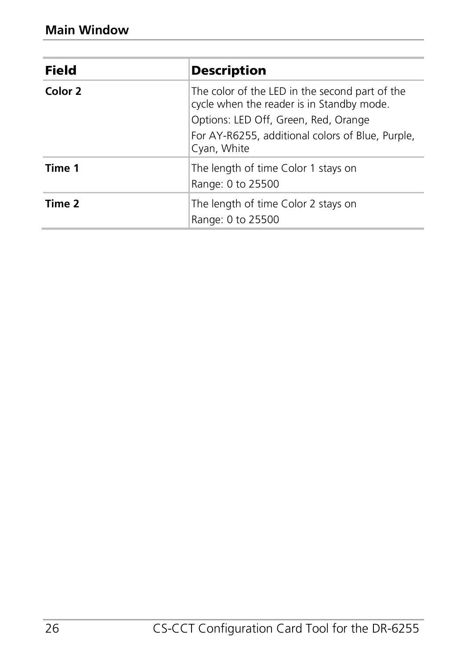| Field   | <b>Description</b>                                                                          |
|---------|---------------------------------------------------------------------------------------------|
| Color 2 | The color of the LED in the second part of the<br>cycle when the reader is in Standby mode. |
|         | Options: LED Off, Green, Red, Orange                                                        |
|         | For AY-R6255, additional colors of Blue, Purple,<br>Cyan, White                             |
| Time 1  | The length of time Color 1 stays on<br>Range: 0 to 25500                                    |
| Time 2  | The length of time Color 2 stays on<br>Range: 0 to 25500                                    |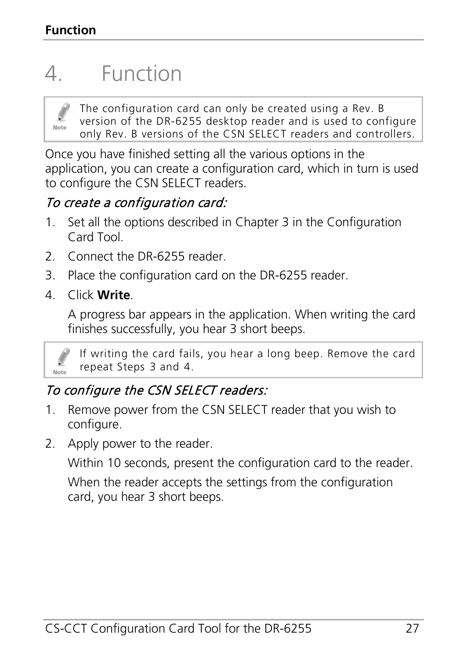# <span id="page-26-0"></span>4. Function



The configuration card can only be created using a Rev. B version of the DR-6255 desktop reader and is used to configure only Rev. B versions of the CSN SELECT readers and controllers.

Once you have finished setting all the various options in the application, you can create a configuration card, which in turn is used to configure the CSN SELECT readers.

#### To create a configuration card:

- 1. Set all the options described in Chapte[r 3](#page-9-0) in the Configuration Card Tool.
- 2. Connect the DR-6255 reader.
- <span id="page-26-1"></span>3. Place the configuration card on the DR-6255 reader.
- <span id="page-26-2"></span>4. Click **Write**.

A progress bar appears in the application. When writing the card finishes successfully, you hear 3 short beeps.



If writing the card fails, you hear a long beep. Remove the card repeat Steps [3](#page-26-1) and [4.](#page-26-2)

# To configure the CSN SELECT readers:

- 1. Remove power from the CSN SELECT reader that you wish to configure.
- 2. Apply power to the reader.

Within 10 seconds, present the configuration card to the reader.

When the reader accepts the settings from the configuration card, you hear 3 short beeps.